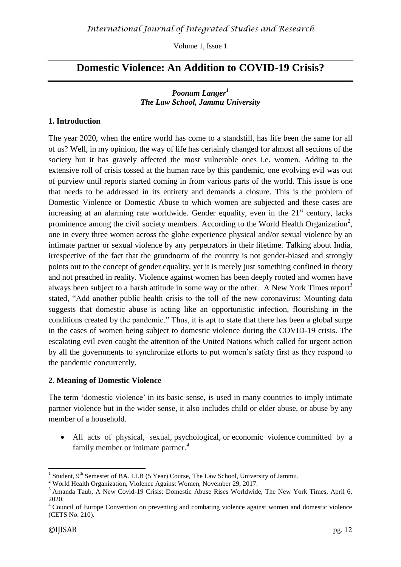Volume 1, Issue 1

# **Domestic Violence: An Addition to COVID-19 Crisis?**

#### *Poonam Langer<sup>1</sup> The Law School, Jammu University*

#### **1. Introduction**

The year 2020, when the entire world has come to a standstill, has life been the same for all of us? Well, in my opinion, the way of life has certainly changed for almost all sections of the society but it has gravely affected the most vulnerable ones i.e. women. Adding to the extensive roll of crisis tossed at the human race by this pandemic, one evolving evil was out of purview until reports started coming in from various parts of the world. This issue is one that needs to be addressed in its entirety and demands a closure. This is the problem of Domestic Violence or Domestic Abuse to which women are subjected and these cases are increasing at an alarming rate worldwide. Gender equality, even in the  $21<sup>st</sup>$  century, lacks prominence among the civil society members. According to the [World Health Organization](https://apps.who.int/iris/bitstream/handle/10665/85239/9789241564625_eng.pdf?sequence=1)<sup>2</sup>, one in every three women across the globe experience physical and/or sexual violence by an intimate partner or sexual violence by any perpetrators in their lifetime. Talking about India, irrespective of the fact that the grundnorm of the country is not gender-biased and strongly points out to the concept of gender equality, yet it is merely just something confined in theory and not preached in reality. Violence against women has been deeply rooted and women have always been subject to a harsh attitude in some way or the other. A New York Times report<sup>3</sup> stated, "Add another public health crisis to the toll of the new coronavirus: Mounting data suggests that domestic abuse is acting like an opportunistic infection, flourishing in the conditions created by the pandemic." Thus, it is apt to state that there has been a global surge in the cases of women being subject to domestic violence during the COVID-19 crisis. The escalating evil even caught the attention of the United Nations which called for urgent action by all the governments to synchronize efforts to put women's safety first as they respond to the pandemic concurrently.

#### **2. Meaning of Domestic Violence**

The term ['domestic violence'](https://apps.who.int/iris/bitstream/handle/10665/77432/WHO_RHR_12.36_eng.pdf;jsessionid=C875FDC2858E9DB90226115FC50DBBAC?sequence=1) in its basic sense, is used in many countries to imply intimate partner violence but in the wider sense, it also includes child or elder abuse, or abuse by any member of a household.

 All acts of physical, sexual, psychological, or economic violence committed by a family member or intimate partner.<sup>4</sup>

<sup>1</sup> 1 Student, 9<sup>th</sup> Semester of BA. LLB (5 Year) Course, The Law School, University of Jammu.

<sup>2</sup> World Health Organization, Violence Against Women, November 29, 2017.

<sup>&</sup>lt;sup>3</sup> Amanda Taub, A New Covid-19 Crisis: Domestic Abuse Rises Worldwide, The New York Times, April 6, 2020.

<sup>&</sup>lt;sup>4</sup> Council of Europe Convention on preventing and combating violence against women and domestic violence (CETS No. 210).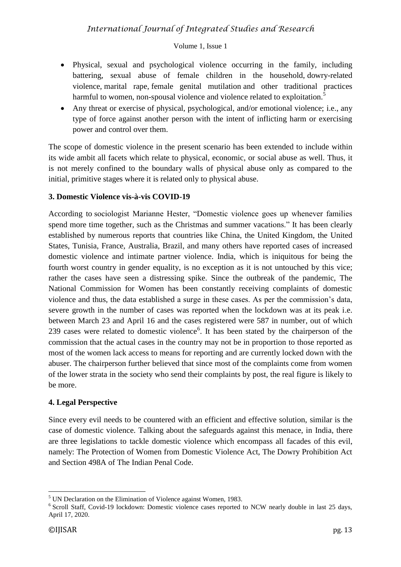# *International Journal of Integrated Studies and Research*

#### Volume 1, Issue 1

- Physical, sexual and psychological violence occurring in the family, including battering, sexual abuse of female children in the household, dowry-related violence, marital rape, female genital mutilation and other traditional practices harmful to women, non-spousal violence and violence related to exploitation.<sup>5</sup>
- Any threat or exercise of physical, psychological, and/or emotional violence; i.e., any type of force against another person with the intent of inflicting harm or exercising power and control over them.

The scope of domestic violence in the present scenario has been extended to include within its wide ambit all facets which relate to physical, economic, or social abuse as well. Thus, it is not merely confined to the boundary walls of physical abuse only as compared to the initial, primitive stages where it is related only to physical abuse.

#### **3. Domestic Violence vis-à-vis COVID-19**

According to sociologist Marianne Hester, "Domestic violence goes up whenever families spend more time together, such as the Christmas and summer vacations." It has been clearly established by numerous reports that countries like China, the United Kingdom, the United States, Tunisia, France, Australia, Brazil, and many others have reported cases of increased domestic violence and intimate partner violence. India, which is iniquitous for being the fourth worst country in gender equality, is no exception as it is not untouched by this vice; rather the cases have seen a distressing spike. Since the outbreak of the pandemic, The National Commission for Women has been constantly receiving complaints of domestic violence and thus, the data established a surge in these cases. As per the commission's data, severe growth in the number of cases was reported when the lockdown was at its peak i.e. between March 23 and April 16 and the cases registered were 587 in number, out of which 239 cases were related to domestic violence<sup>6</sup>. It has been stated by the chairperson of the commission that the actual cases in the country may not be in proportion to those reported as most of the women lack access to means for reporting and are currently locked down with the abuser. The chairperson further believed that since most of the complaints come from women of the lower strata in the society who send their complaints by post, the real figure is likely to be more.

#### **4. Legal Perspective**

Since every evil needs to be countered with an efficient and effective solution, similar is the case of domestic violence. Talking about the safeguards against this menace, in India, there are three legislations to tackle domestic violence which encompass all facades of this evil, namely: The Protection of Women from Domestic Violence Act, The Dowry Prohibition Act and Section 498A of The Indian Penal Code.

 $\overline{a}$ 

 $<sup>5</sup>$  UN Declaration on the Elimination of Violence against Women, 1983.</sup>

<sup>&</sup>lt;sup>6</sup> Scroll Staff, Covid-19 lockdown: Domestic violence cases reported to NCW nearly double in last 25 days, April 17, 2020.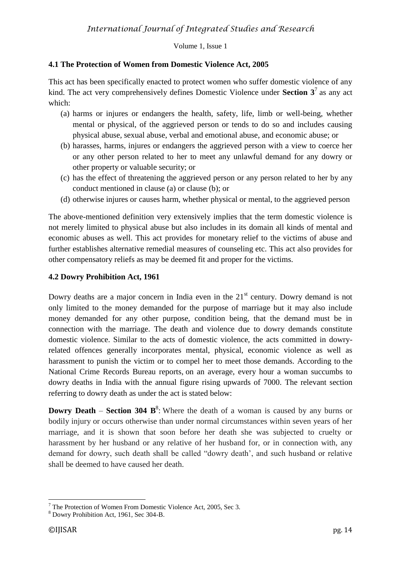#### Volume 1, Issue 1

### **4.1 The Protection of Women from Domestic Violence Act, 2005**

This act has been specifically enacted to protect women who suffer domestic violence of any kind. The act very comprehensively defines Domestic Violence under **Section 3<sup>7</sup>** as any act which:

- (a) harms or injures or endangers the health, safety, life, limb or well-being, whether mental or physical, of the aggrieved person or tends to do so and includes causing physical abuse, sexual abuse, verbal and emotional abuse, and economic abuse; or
- (b) harasses, harms, injures or endangers the aggrieved person with a view to coerce her or any other person related to her to meet any unlawful demand for any dowry or other property or valuable security; or
- (c) has the effect of threatening the aggrieved person or any person related to her by any conduct mentioned in clause (a) or clause (b); or
- (d) otherwise injures or causes harm, whether physical or mental, to the aggrieved person

The above-mentioned definition very extensively implies that the term domestic violence is not merely limited to physical abuse but also includes in its domain all kinds of mental and economic abuses as well. This act provides for monetary relief to the victims of abuse and further establishes alternative remedial measures of counseling etc. This act also provides for other compensatory reliefs as may be deemed fit and proper for the victims.

#### **4.2 Dowry Prohibition Act, 1961**

Dowry deaths are a major concern in India even in the  $21<sup>st</sup>$  century. Dowry demand is not only limited to the money demanded for the purpose of marriage but it may also include money demanded for any other purpose, condition being, that the demand must be in connection with the marriage. The death and violence due to dowry demands constitute domestic violence. Similar to the acts of domestic violence, the acts committed in dowryrelated offences generally incorporates mental, physical, economic violence as well as harassment to punish the victim or to compel her to meet those demands. According to the National Crime Records Bureau reports, on an average, every hour a woman succumbs to dowry deaths in India with the annual figure rising upwards of 7000. The relevant section referring to dowry death as under the act is stated below:

**Dowry** Death – Section 304 B<sup>8</sup>: Where the death of a woman is caused by any burns or bodily injury or occurs otherwise than under normal circumstances within seven years of her marriage, and it is shown that soon before her death she was subjected to cruelty or harassment by her husband or any relative of her husband for, or in connection with, any demand for dowry, such death shall be called "dowry death', and such husband or relative shall be deemed to have caused her death.

1

 $7$  The Protection of Women From Domestic Violence Act, 2005, Sec 3.

<sup>8</sup> Dowry Prohibition Act, 1961, Sec 304-B.